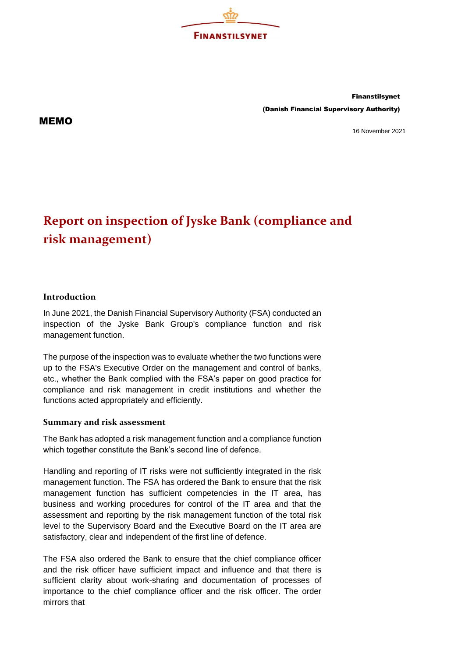

Finanstilsynet (Danish Financial Supervisory Authority)

## MEMO

16 November 2021

## **Report on inspection of Jyske Bank (compliance and risk management)**

## **Introduction**

In June 2021, the Danish Financial Supervisory Authority (FSA) conducted an inspection of the Jyske Bank Group's compliance function and risk management function.

The purpose of the inspection was to evaluate whether the two functions were up to the FSA's Executive Order on the management and control of banks, etc., whether the Bank complied with the FSA's paper on good practice for compliance and risk management in credit institutions and whether the functions acted appropriately and efficiently.

## **Summary and risk assessment**

The Bank has adopted a risk management function and a compliance function which together constitute the Bank's second line of defence.

Handling and reporting of IT risks were not sufficiently integrated in the risk management function. The FSA has ordered the Bank to ensure that the risk management function has sufficient competencies in the IT area, has business and working procedures for control of the IT area and that the assessment and reporting by the risk management function of the total risk level to the Supervisory Board and the Executive Board on the IT area are satisfactory, clear and independent of the first line of defence.

The FSA also ordered the Bank to ensure that the chief compliance officer and the risk officer have sufficient impact and influence and that there is sufficient clarity about work-sharing and documentation of processes of importance to the chief compliance officer and the risk officer. The order mirrors that